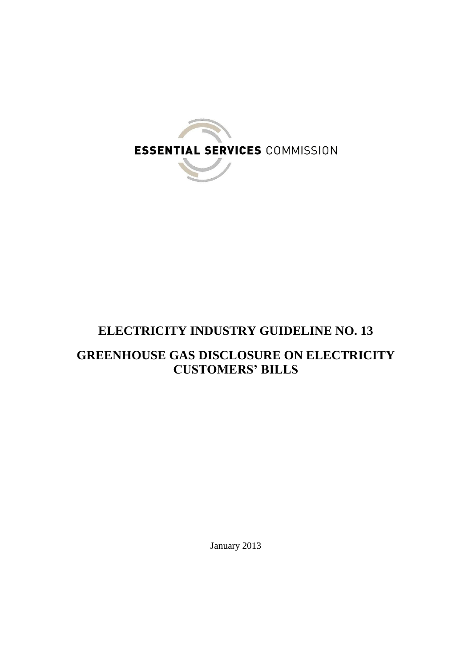

# **ELECTRICITY INDUSTRY GUIDELINE NO. 13**

## **GREENHOUSE GAS DISCLOSURE ON ELECTRICITY CUSTOMERS' BILLS**

January 2013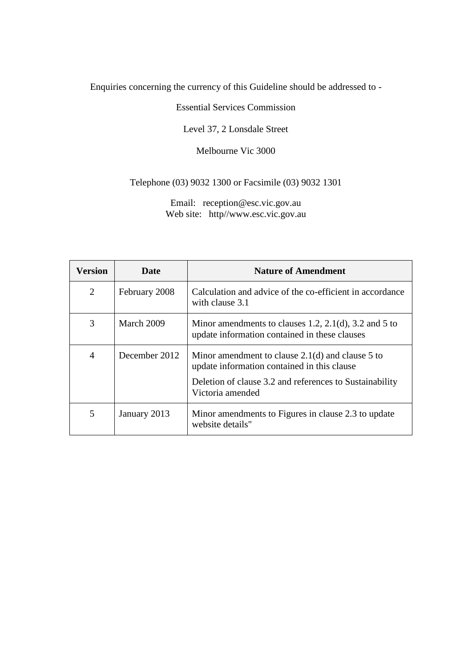Enquiries concerning the currency of this Guideline should be addressed to -

Essential Services Commission

Level 37, 2 Lonsdale Street

Melbourne Vic 3000

Telephone (03) 9032 1300 or Facsimile (03) 9032 1301

Email: reception@esc.vic.gov.au Web site: http//www.esc.vic.gov.au

| <b>Version</b> | Date          | <b>Nature of Amendment</b>                                                                                                                                                       |
|----------------|---------------|----------------------------------------------------------------------------------------------------------------------------------------------------------------------------------|
| 2              | February 2008 | Calculation and advice of the co-efficient in accordance<br>with clause 3.1                                                                                                      |
| 3              | March 2009    | Minor amendments to clauses 1.2, 2.1(d), 3.2 and 5 to<br>update information contained in these clauses                                                                           |
| $\overline{4}$ | December 2012 | Minor amendment to clause $2.1(d)$ and clause 5 to<br>update information contained in this clause<br>Deletion of clause 3.2 and references to Sustainability<br>Victoria amended |
| 5              | January 2013  | Minor amendments to Figures in clause 2.3 to update<br>website details"                                                                                                          |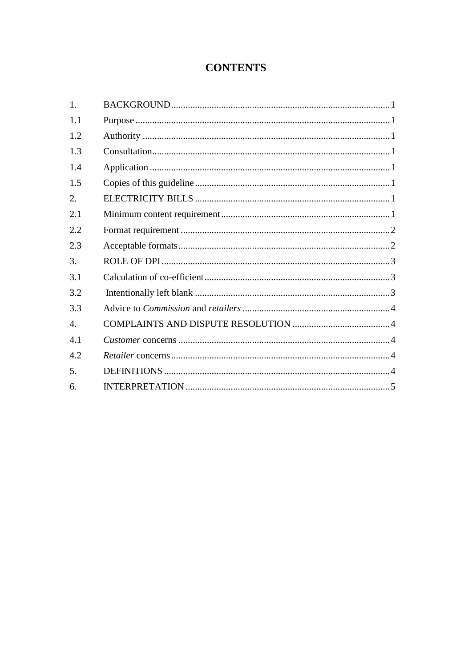## **CONTENTS**

| 1.  |  |
|-----|--|
| 1.1 |  |
| 1.2 |  |
| 1.3 |  |
| 1.4 |  |
| 1.5 |  |
| 2.  |  |
| 2.1 |  |
| 2.2 |  |
| 2.3 |  |
| 3.  |  |
| 3.1 |  |
| 3.2 |  |
| 3.3 |  |
| 4.  |  |
| 4.1 |  |
| 4.2 |  |
| 5.  |  |
| 6.  |  |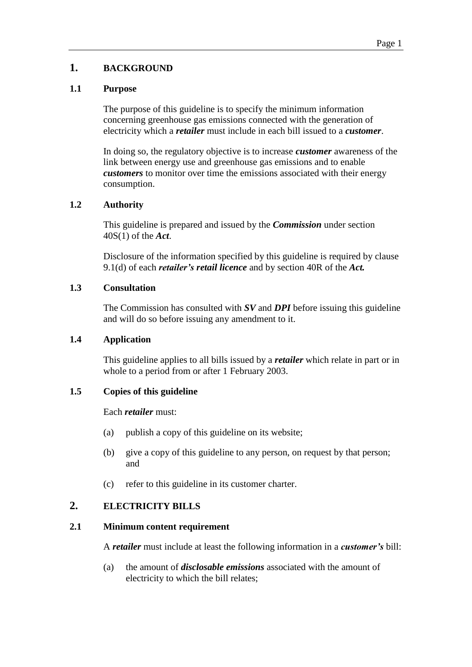## <span id="page-3-0"></span>**1. BACKGROUND**

#### <span id="page-3-1"></span>**1.1 Purpose**

The purpose of this guideline is to specify the minimum information concerning greenhouse gas emissions connected with the generation of electricity which a *retailer* must include in each bill issued to a *customer*.

In doing so, the regulatory objective is to increase *customer* awareness of the link between energy use and greenhouse gas emissions and to enable *customers* to monitor over time the emissions associated with their energy consumption.

#### <span id="page-3-2"></span>**1.2 Authority**

This guideline is prepared and issued by the *Commission* under section 40S(1) of the *Act*.

Disclosure of the information specified by this guideline is required by clause 9.1(d) of each *retailer's retail licence* and by section 40R of the *Act.*

#### <span id="page-3-3"></span>**1.3 Consultation**

The Commission has consulted with *SV* and *DPI* before issuing this guideline and will do so before issuing any amendment to it.

## <span id="page-3-4"></span>**1.4 Application**

This guideline applies to all bills issued by a *retailer* which relate in part or in whole to a period from or after 1 February 2003.

#### <span id="page-3-5"></span>**1.5 Copies of this guideline**

#### Each *retailer* must:

- (a) publish a copy of this guideline on its website;
- (b) give a copy of this guideline to any person, on request by that person; and
- (c) refer to this guideline in its customer charter.

## <span id="page-3-6"></span>**2. ELECTRICITY BILLS**

#### <span id="page-3-7"></span>**2.1 Minimum content requirement**

A *retailer* must include at least the following information in a *customer's* bill:

(a) the amount of *disclosable emissions* associated with the amount of electricity to which the bill relates;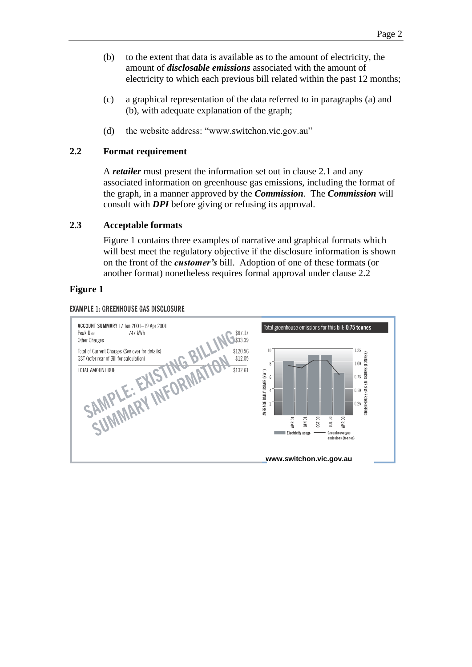- (b) to the extent that data is available as to the amount of electricity, the amount of *disclosable emissions* associated with the amount of electricity to which each previous bill related within the past 12 months;
- (c) a graphical representation of the data referred to in paragraphs (a) and (b), with adequate explanation of the graph;
- (d) the website address: "www.switchon.vic.gov.au"

## <span id="page-4-0"></span>**2.2 Format requirement**

A *retailer* must present the information set out in clause 2.1 and any associated information on greenhouse gas emissions, including the format of the graph, in a manner approved by the *Commission*. The *Commission* will consult with *DPI* before giving or refusing its approval.

## <span id="page-4-1"></span>**2.3 Acceptable formats**

Figure 1 contains three examples of narrative and graphical formats which will best meet the regulatory objective if the disclosure information is shown on the front of the *customer's* bill. Adoption of one of these formats (or another format) nonetheless requires formal approval under clause 2.2

## **Figure 1**

**EXAMPLE 1: GREENHOUSE GAS DISCLOSURE** 

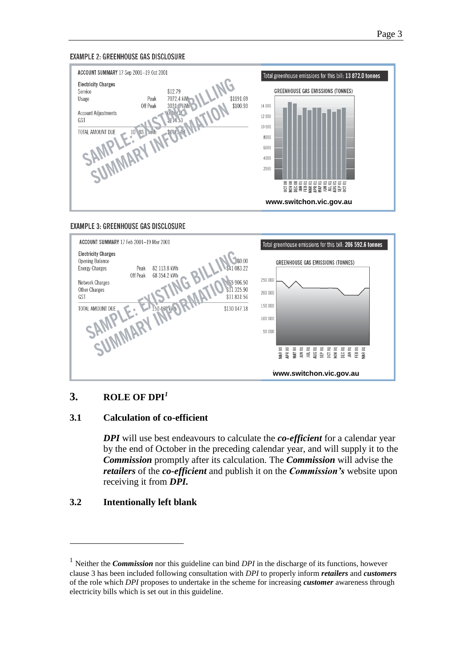#### **EXAMPLE 2: GREENHOUSE GAS DISCLOSURE**







## <span id="page-5-0"></span>**3. ROLE OF DPI***<sup>1</sup>*

## <span id="page-5-1"></span>**3.1 Calculation of co-efficient**

*DPI* will use best endeavours to calculate the *co-efficient* for a calendar year by the end of October in the preceding calendar year, and will supply it to the *Commission* promptly after its calculation. The *Commission* will advise the *retailers* of the *co-efficient* and publish it on the *Commission's* website upon receiving it from *DPI.*

## <span id="page-5-2"></span>**3.2 Intentionally left blank**

 $\overline{a}$ 

<sup>&</sup>lt;sup>1</sup> Neither the *Commission* nor this guideline can bind *DPI* in the discharge of its functions, however clause 3 has been included following consultation with *DPI* to properly inform *retailers* and *customers*  of the role which *DPI* proposes to undertake in the scheme for increasing *customer* awareness through electricity bills which is set out in this guideline.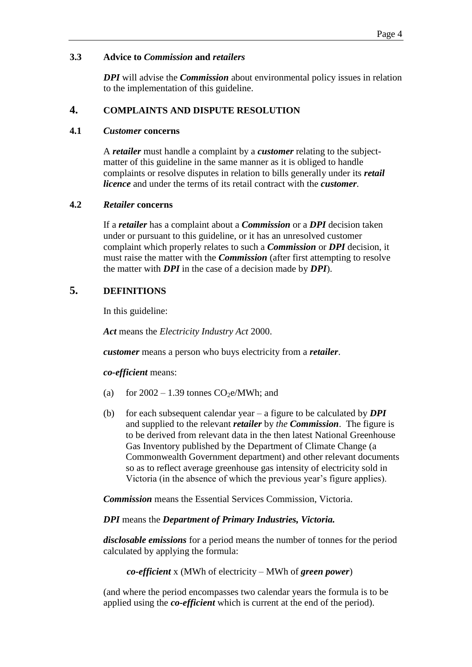## <span id="page-6-0"></span>**3.3 Advice to** *Commission* **and** *retailers*

*DPI* will advise the *Commission* about environmental policy issues in relation to the implementation of this guideline.

## <span id="page-6-1"></span>**4. COMPLAINTS AND DISPUTE RESOLUTION**

#### <span id="page-6-2"></span>**4.1** *Customer* **concerns**

A *retailer* must handle a complaint by a *customer* relating to the subjectmatter of this guideline in the same manner as it is obliged to handle complaints or resolve disputes in relation to bills generally under its *retail licence* and under the terms of its retail contract with the *customer.*

## <span id="page-6-3"></span>**4.2** *Retailer* **concerns**

If a *retailer* has a complaint about a *Commission* or a *DPI* decision taken under or pursuant to this guideline, or it has an unresolved customer complaint which properly relates to such a *Commission* or *DPI* decision, it must raise the matter with the *Commission* (after first attempting to resolve the matter with *DPI* in the case of a decision made by *DPI*).

## <span id="page-6-4"></span>**5. DEFINITIONS**

In this guideline:

*Act* means the *Electricity Industry Act* 2000.

*customer* means a person who buys electricity from a *retailer*.

*co-efficient* means:

- (a) for  $2002 1.39$  tonnes  $CO<sub>2</sub>e/MWh$ ; and
- (b) for each subsequent calendar year a figure to be calculated by *DPI* and supplied to the relevant *retailer* by *the Commission*. The figure is to be derived from relevant data in the then latest National Greenhouse Gas Inventory published by the Department of Climate Change (a Commonwealth Government department) and other relevant documents so as to reflect average greenhouse gas intensity of electricity sold in Victoria (in the absence of which the previous year's figure applies).

*Commission* means the Essential Services Commission, Victoria.

## *DPI* means the *Department of Primary Industries, Victoria.*

*disclosable emissions* for a period means the number of tonnes for the period calculated by applying the formula:

*co-efficient* x (MWh of electricity – MWh of *green power*)

(and where the period encompasses two calendar years the formula is to be applied using the *co-efficient* which is current at the end of the period).